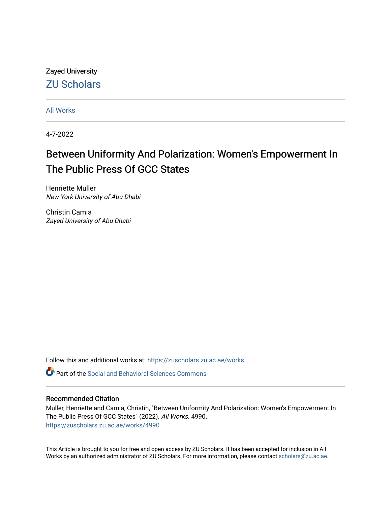Zayed University [ZU Scholars](https://zuscholars.zu.ac.ae/) 

[All Works](https://zuscholars.zu.ac.ae/works)

4-7-2022

# Between Uniformity And Polarization: Women's Empowerment In The Public Press Of GCC States

Henriette Muller New York University of Abu Dhabi

Christin Camia Zayed University of Abu Dhabi

Follow this and additional works at: [https://zuscholars.zu.ac.ae/works](https://zuscholars.zu.ac.ae/works?utm_source=zuscholars.zu.ac.ae%2Fworks%2F4990&utm_medium=PDF&utm_campaign=PDFCoverPages)

**C** Part of the Social and Behavioral Sciences Commons

# Recommended Citation

Muller, Henriette and Camia, Christin, "Between Uniformity And Polarization: Women's Empowerment In The Public Press Of GCC States" (2022). All Works. 4990. [https://zuscholars.zu.ac.ae/works/4990](https://zuscholars.zu.ac.ae/works/4990?utm_source=zuscholars.zu.ac.ae%2Fworks%2F4990&utm_medium=PDF&utm_campaign=PDFCoverPages)

This Article is brought to you for free and open access by ZU Scholars. It has been accepted for inclusion in All Works by an authorized administrator of ZU Scholars. For more information, please contact [scholars@zu.ac.ae](mailto:scholars@zu.ac.ae).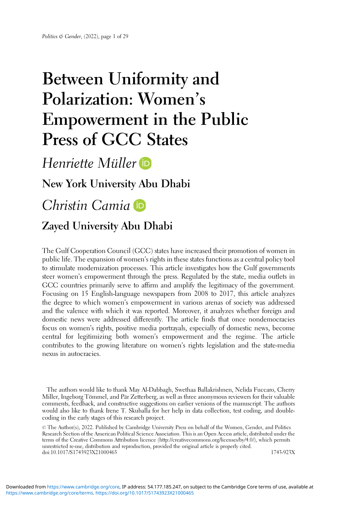# Between Uniformity and Polarization: Women' s Empowerment in the Public Press of GCC States

# Henriette Müller

# New York University Abu Dhabi

# Christin Camia

# Zayed University Abu Dhabi

The Gulf Cooperation Council (GCC) states have increased their promotion of women in public life. The expansion of women's rights in these states functions as a central policy tool to stimulate modernization processes. This article investigates how the Gulf governments steer women's empowerment through the press. Regulated by the state, media outlets in GCC countries primarily serve to affirm and amplify the legitimacy of the government. Focusing on 15 English-language newspapers from 2008 to 2017, this article analyzes the degree to which women's empowerment in various arenas of society was addressed and the valence with which it was reported. Moreover, it analyzes whether foreign and domestic news were addressed differently. The article finds that once nondemocracies focus on women's rights, positive media portrayals, especially of domestic news, become central for legitimizing both women's empowerment and the regime. The article contributes to the growing literature on women's rights legislation and the state-media nexus in autocracies.

The authors would like to thank May Al-Dabbagh, Swethaa Ballakrishnen, Nelida Fuccaro, Cherry Miller, Ingeborg Tömmel, and Pär Zetterberg, as well as three anonymous reviewers for their valuable comments, feedback, and constructive suggestions on earlier versions of the manuscript. The authors would also like to thank Irene T. Skuballa for her help in data collection, test coding, and doublecoding in the early stages of this research project.

© The Author(s), 2022. Published by Cambridge University Press on behalf of the Women, Gender, and Politics Research Section of the American Political Science Association. This is an Open Access article, distributed under the terms of the Creative Commons Attribution licence (http://creativecommons.org/licenses/by/4.0/), which permits unrestricted re-use, distribution and reproduction, provided the original article is properly cited. doi:10.1017/S1743923X21000465 1743-923X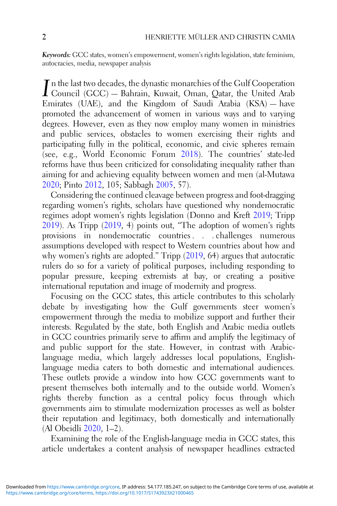Keywords: GCC states, women's empowerment, women's rights legislation, state feminism, autocracies, media, newspaper analysis

In the last two decades, the dynastic monarchies of the Gulf Cooperation<br>
Council (GCC) — Bahrain, Kuwait, Oman, Qatar, the United Arab Council (GCC) — Bahrain, Kuwait, Oman, Qatar, the United Arab Emirates (UAE), and the Kingdom of Saudi Arabia (KSA) — have promoted the advancement of women in various ways and to varying degrees. However, even as they now employ many women in ministries and public services, obstacles to women exercising their rights and participating fully in the political, economic, and civic spheres remain (see, e.g., World Economic Forum [2018\)](#page-29-0). The countries' state-led reforms have thus been criticized for consolidating inequality rather than aiming for and achieving equality between women and men (al-Mutawa [2020](#page-27-0); Pinto [2012,](#page-29-0) 105; Sabbagh [2005](#page-29-0), 57).

Considering the continued cleavage between progress and foot-dragging regarding women's rights, scholars have questioned why nondemocratic regimes adopt women's rights legislation (Donno and Kreft [2019;](#page-27-0) Tripp  $2019$ ). As Tripp  $(2019, 4)$  $(2019, 4)$  points out, "The adoption of women's rights provisions in nondemocratic countries . . . challenges numerous assumptions developed with respect to Western countries about how and why women's rights are adopted." Tripp [\(2019](#page-29-0), 64) argues that autocratic rulers do so for a variety of political purposes, including responding to popular pressure, keeping extremists at bay, or creating a positive international reputation and image of modernity and progress.

Focusing on the GCC states, this article contributes to this scholarly debate by investigating how the Gulf governments steer women's empowerment through the media to mobilize support and further their interests. Regulated by the state, both English and Arabic media outlets in GCC countries primarily serve to affirm and amplify the legitimacy of and public support for the state. However, in contrast with Arabiclanguage media, which largely addresses local populations, Englishlanguage media caters to both domestic and international audiences. These outlets provide a window into how GCC governments want to present themselves both internally and to the outside world. Women's rights thereby function as a central policy focus through which governments aim to stimulate modernization processes as well as bolster their reputation and legitimacy, both domestically and internationally (Al Obeidli [2020](#page-27-0), 1–2).

Examining the role of the English-language media in GCC states, this article undertakes a content analysis of newspaper headlines extracted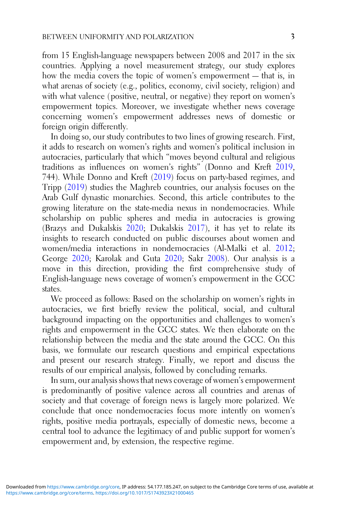from 15 English-language newspapers between 2008 and 2017 in the six countries. Applying a novel measurement strategy, our study explores how the media covers the topic of women's empowerment — that is, in what arenas of society (e.g., politics, economy, civil society, religion) and with what valence (positive, neutral, or negative) they report on women's empowerment topics. Moreover, we investigate whether news coverage concerning women's empowerment addresses news of domestic or foreign origin differently.

In doing so, our study contributes to two lines of growing research. First, it adds to research on women's rights and women's political inclusion in autocracies, particularly that which "moves beyond cultural and religious traditions as influences on women's rights" (Donno and Kreft [2019](#page-27-0), 744). While Donno and Kreft ([2019\)](#page-27-0) focus on party-based regimes, and Tripp [\(2019](#page-29-0)) studies the Maghreb countries, our analysis focuses on the Arab Gulf dynastic monarchies. Second, this article contributes to the growing literature on the state-media nexus in nondemocracies. While scholarship on public spheres and media in autocracies is growing (Brazys and Dukalskis [2020;](#page-27-0) Dukalskis [2017\)](#page-28-0), it has yet to relate its insights to research conducted on public discourses about women and women/media interactions in nondemocracies (Al-Malki et al. [2012](#page-27-0); George [2020](#page-28-0); Karolak and Guta [2020](#page-28-0); Sakr [2008\)](#page-29-0). Our analysis is a move in this direction, providing the first comprehensive study of English-language news coverage of women's empowerment in the GCC states.

We proceed as follows: Based on the scholarship on women's rights in autocracies, we first briefly review the political, social, and cultural background impacting on the opportunities and challenges to women's rights and empowerment in the GCC states. We then elaborate on the relationship between the media and the state around the GCC. On this basis, we formulate our research questions and empirical expectations and present our research strategy. Finally, we report and discuss the results of our empirical analysis, followed by concluding remarks.

In sum, our analysis shows that news coverage of women's empowerment is predominantly of positive valence across all countries and arenas of society and that coverage of foreign news is largely more polarized. We conclude that once nondemocracies focus more intently on women's rights, positive media portrayals, especially of domestic news, become a central tool to advance the legitimacy of and public support for women's empowerment and, by extension, the respective regime.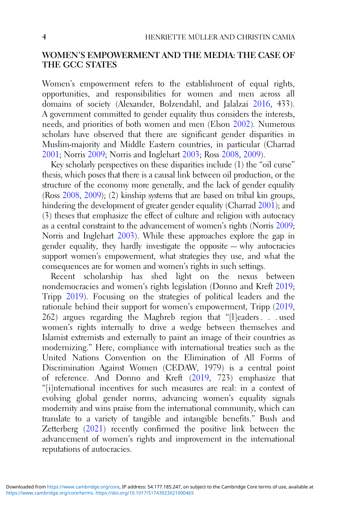## WOMEN'S EMPOWERMENT AND THE MEDIA: THE CASE OF THE GCC STATES

Women's empowerment refers to the establishment of equal rights, opportunities, and responsibilities for women and men across all domains of society (Alexander, Bolzendahl, and Jalalzai [2016](#page-27-0), 433). A government committed to gender equality thus considers the interests, needs, and priorities of both women and men (Elson [2002\)](#page-28-0). Numerous scholars have observed that there are significant gender disparities in Muslim-majority and Middle Eastern countries, in particular (Charrad [2001](#page-27-0); Norris [2009;](#page-28-0) Norris and Inglehart [2003;](#page-29-0) Ross [2008](#page-29-0), [2009](#page-29-0)).

Key scholarly perspectives on these disparities include (1) the "oil curse" thesis, which poses that there is a causal link between oil production, or the structure of the economy more generally, and the lack of gender equality (Ross [2008,](#page-29-0) [2009](#page-29-0)); (2) kinship systems that are based on tribal kin groups, hindering the development of greater gender equality (Charrad [2001\)](#page-27-0); and (3) theses that emphasize the effect of culture and religion with autocracy as a central constraint to the advancement of women's rights (Norris [2009](#page-28-0); Norris and Inglehart [2003](#page-29-0)). While these approaches explore the gap in gender equality, they hardly investigate the opposite — why autocracies support women's empowerment, what strategies they use, and what the consequences are for women and women's rights in such settings.

Recent scholarship has shed light on the nexus between nondemocracies and women's rights legislation (Donno and Kreft [2019](#page-27-0); Tripp [2019\)](#page-29-0). Focusing on the strategies of political leaders and the rationale behind their support for women's empowerment, Tripp [\(2019](#page-29-0), 262) argues regarding the Maghreb region that "[l]eaders . . . used women's rights internally to drive a wedge between themselves and Islamist extremists and externally to paint an image of their countries as modernizing." Here, compliance with international treaties such as the United Nations Convention on the Elimination of All Forms of Discrimination Against Women (CEDAW, 1979) is a central point of reference. And Donno and Kreft ([2019,](#page-27-0) 723) emphasize that "[i]nternational incentives for such measures are real: in a context of evolving global gender norms, advancing women's equality signals modernity and wins praise from the international community, which can translate to a variety of tangible and intangible benefits." Bush and Zetterberg [\(2021](#page-27-0)) recently confirmed the positive link between the advancement of women's rights and improvement in the international reputations of autocracies.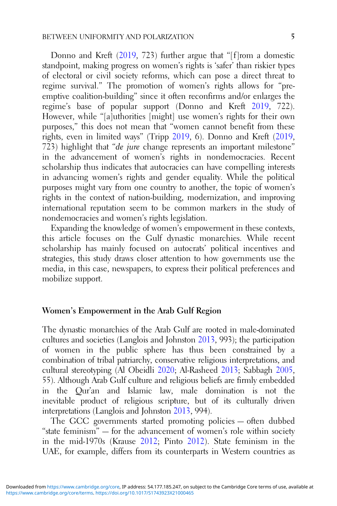Donno and Kreft [\(2019](#page-27-0), 723) further argue that "[f]rom a domestic standpoint, making progress on women's rights is 'safer' than riskier types of electoral or civil society reforms, which can pose a direct threat to regime survival." The promotion of women's rights allows for "preemptive coalition-building" since it often reconfirms and/or enlarges the regime's base of popular support (Donno and Kreft [2019,](#page-27-0) 722). However, while "[a]uthorities [might] use women's rights for their own purposes," this does not mean that "women cannot benefit from these rights, even in limited ways" (Tripp [2019,](#page-29-0) 6). Donno and Kreft [\(2019](#page-27-0), 723) highlight that "de jure change represents an important milestone" in the advancement of women's rights in nondemocracies. Recent scholarship thus indicates that autocracies can have compelling interests in advancing women's rights and gender equality. While the political purposes might vary from one country to another, the topic of women's rights in the context of nation-building, modernization, and improving international reputation seem to be common markers in the study of nondemocracies and women's rights legislation.

Expanding the knowledge of women's empowerment in these contexts, this article focuses on the Gulf dynastic monarchies. While recent scholarship has mainly focused on autocrats' political incentives and strategies, this study draws closer attention to how governments use the media, in this case, newspapers, to express their political preferences and mobilize support.

## Women's Empowerment in the Arab Gulf Region

The dynastic monarchies of the Arab Gulf are rooted in male-dominated cultures and societies (Langlois and Johnston [2013](#page-28-0), 993); the participation of women in the public sphere has thus been constrained by a combination of tribal patriarchy, conservative religious interpretations, and cultural stereotyping (Al Obeidli [2020;](#page-27-0) Al-Rasheed [2013](#page-27-0); Sabbagh [2005](#page-29-0), 55). Although Arab Gulf culture and religious beliefs are firmly embedded in the Qur'an and Islamic law, male domination is not the inevitable product of religious scripture, but of its culturally driven interpretations (Langlois and Johnston [2013](#page-28-0), 994).

The GCC governments started promoting policies — often dubbed "state feminism" — for the advancement of women's role within society in the mid-1970s (Krause [2012;](#page-28-0) Pinto [2012](#page-29-0)). State feminism in the UAE, for example, differs from its counterparts in Western countries as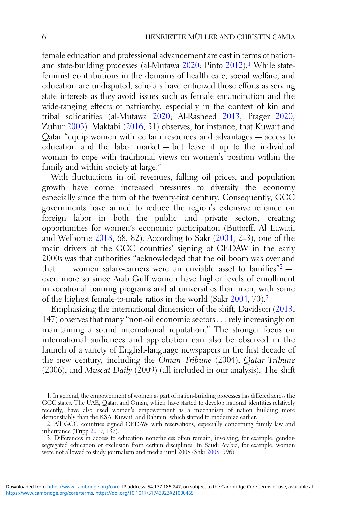female education and professional advancement are cast in terms of nation-and state-building processes (al-Mutawa [2020;](#page-27-0) Pinto [2012](#page-29-0)).<sup>1</sup> While statefeminist contributions in the domains of health care, social welfare, and education are undisputed, scholars have criticized those efforts as serving state interests as they avoid issues such as female emancipation and the wide-ranging effects of patriarchy, especially in the context of kin and tribal solidarities (al-Mutawa [2020;](#page-27-0) Al-Rasheed [2013](#page-27-0); Prager [2020](#page-29-0); Zuhur [2003](#page-29-0)). Maktabi [\(2016](#page-28-0), 31) observes, for instance, that Kuwait and Qatar "equip women with certain resources and advantages — access to education and the labor market — but leave it up to the individual woman to cope with traditional views on women's position within the family and within society at large."

With fluctuations in oil revenues, falling oil prices, and population growth have come increased pressures to diversify the economy especially since the turn of the twenty-first century. Consequently, GCC governments have aimed to reduce the region's extensive reliance on foreign labor in both the public and private sectors, creating opportunities for women's economic participation (Buttorff, Al Lawati, and Welborne [2018,](#page-27-0) 68, 82). According to Sakr ([2004,](#page-29-0) 2–3), one of the main drivers of the GCC countries' signing of CEDAW in the early 2000s was that authorities "acknowledged that the oil boom was over and that  $\ldots$  women salary-earners were an enviable asset to families"<sup>2</sup> – even more so since Arab Gulf women have higher levels of enrollment in vocational training programs and at universities than men, with some of the highest female-to-male ratios in the world (Sakr [2004](#page-29-0), 70).<sup>3</sup>

Emphasizing the international dimension of the shift, Davidson [\(2013](#page-27-0), 147) observes that many "non-oil economic sectors . . . rely increasingly on maintaining a sound international reputation." The stronger focus on international audiences and approbation can also be observed in the launch of a variety of English-language newspapers in the first decade of the new century, including the Oman Tribune (2004), Qatar Tribune (2006), and Muscat Daily (2009) (all included in our analysis). The shift

<sup>1.</sup> In general, the empowerment of women as part of nation-building processes has differed across the GCC states. The UAE, Qatar, and Oman, which have started to develop national identities relatively recently, have also used women's empowerment as a mechanism of nation building more demonstrably than the KSA, Kuwait, and Bahrain, which started to modernize earlier.

<sup>2.</sup> All GCC countries signed CEDAW with reservations, especially concerning family law and inheritance (Tripp [2019,](#page-29-0) 137).

<sup>3.</sup> Differences in access to education nonetheless often remain, involving, for example, gendersegregated education or exclusion from certain disciplines. In Saudi Arabia, for example, women were not allowed to study journalism and media until 2005 (Sakr [2008](#page-29-0), 396).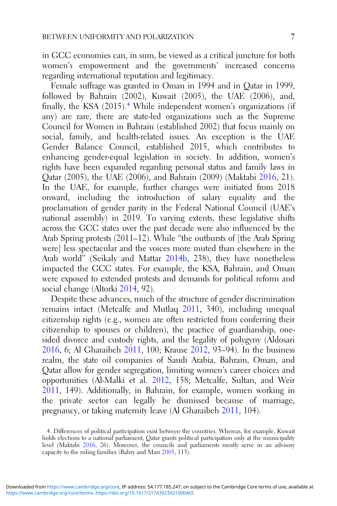in GCC economies can, in sum, be viewed as a critical juncture for both women's empowerment and the governments' increased concerns regarding international reputation and legitimacy.

Female suffrage was granted in Oman in 1994 and in Qatar in 1999, followed by Bahrain (2002), Kuwait (2005), the UAE (2006), and, finally, the KSA  $(2015)$ .<sup>4</sup> While independent women's organizations (if any) are rare, there are state-led organizations such as the Supreme Council for Women in Bahrain (established 2002) that focus mainly on social, family, and health-related issues. An exception is the UAE Gender Balance Council, established 2015, which contributes to enhancing gender-equal legislation in society. In addition, women's rights have been expanded regarding personal status and family laws in Qatar (2005), the UAE (2006), and Bahrain (2009) (Maktabi [2016](#page-28-0), 21). In the UAE, for example, further changes were initiated from 2018 onward, including the introduction of salary equality and the proclamation of gender parity in the Federal National Council (UAE's national assembly) in 2019. To varying extents, these legislative shifts across the GCC states over the past decade were also influenced by the Arab Spring protests (2011–12). While "the outbursts of [the Arab Spring were] less spectacular and the voices more muted than elsewhere in the Arab world" (Seikaly and Mattar [2014b,](#page-29-0) 238), they have nonetheless impacted the GCC states. For example, the KSA, Bahrain, and Oman were exposed to extended protests and demands for political reform and social change (Altorki [2014](#page-27-0), 92).

Despite these advances, much of the structure of gender discrimination remains intact (Metcalfe and Mutlaq [2011](#page-28-0), 340), including unequal citizenship rights (e.g., women are often restricted from conferring their citizenship to spouses or children), the practice of guardianship, onesided divorce and custody rights, and the legality of polygyny (Aldosari [2016](#page-27-0), 6; Al Gharaibeh [2011](#page-27-0), 100; Krause [2012](#page-28-0), 93–94). In the business realm, the state oil companies of Saudi Arabia, Bahrain, Oman, and Qatar allow for gender segregation, limiting women's career choices and opportunities (Al-Malki et al. [2012,](#page-27-0) 158; Metcalfe, Sultan, and Weir [2011](#page-28-0), 149). Additionally, in Bahrain, for example, women working in the private sector can legally be dismissed because of marriage, pregnancy, or taking maternity leave (Al Gharaibeh [2011](#page-27-0), 104).

<sup>4.</sup> Differences of political participation exist between the countries. Whereas, for example, Kuwait holds elections to a national parliament, Qatar grants political participation only at the municipality level (Maktabi [2016](#page-28-0), 26). Moreover, the councils and parliaments mostly serve in an advisory capacity to the ruling families (Bahry and Marr [2005,](#page-27-0) 113).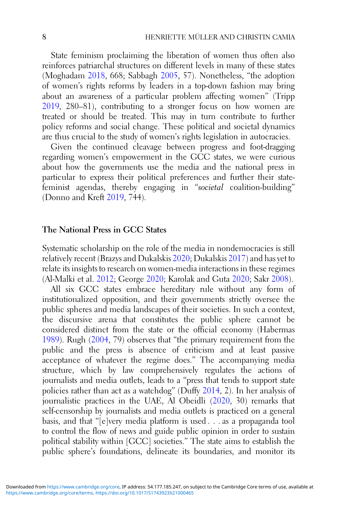State feminism proclaiming the liberation of women thus often also reinforces patriarchal structures on different levels in many of these states (Moghadam [2018,](#page-28-0) 668; Sabbagh [2005](#page-29-0), 57). Nonetheless, "the adoption of women's rights reforms by leaders in a top-down fashion may bring about an awareness of a particular problem affecting women" (Tripp [2019](#page-29-0), 280–81), contributing to a stronger focus on how women are treated or should be treated. This may in turn contribute to further policy reforms and social change. These political and societal dynamics are thus crucial to the study of women's rights legislation in autocracies.

Given the continued cleavage between progress and foot-dragging regarding women's empowerment in the GCC states, we were curious about how the governments use the media and the national press in particular to express their political preferences and further their statefeminist agendas, thereby engaging in "societal coalition-building" (Donno and Kreft [2019,](#page-27-0) 744).

#### The National Press in GCC States

Systematic scholarship on the role of the media in nondemocracies is still relatively recent (Brazys and Dukalskis [2020](#page-27-0); Dukalskis [2017\)](#page-28-0) and has yet to relate its insights to research on women-media interactions in these regimes (Al-Malki et al. [2012;](#page-27-0) George [2020;](#page-28-0) Karolak and Guta [2020;](#page-28-0) Sakr [2008\)](#page-29-0).

All six GCC states embrace hereditary rule without any form of institutionalized opposition, and their governments strictly oversee the public spheres and media landscapes of their societies. In such a context, the discursive arena that constitutes the public sphere cannot be considered distinct from the state or the official economy (Habermas [1989](#page-28-0)). Rugh ([2004,](#page-29-0) 79) observes that "the primary requirement from the public and the press is absence of criticism and at least passive acceptance of whatever the regime does." The accompanying media structure, which by law comprehensively regulates the actions of journalists and media outlets, leads to a "press that tends to support state policies rather than act as a watchdog" (Duffy [2014,](#page-28-0) 2). In her analysis of journalistic practices in the UAE, Al Obeidli ([2020,](#page-27-0) 30) remarks that self-censorship by journalists and media outlets is practiced on a general basis, and that "[e]very media platform is used . . . as a propaganda tool to control the flow of news and guide public opinion in order to sustain political stability within [GCC] societies." The state aims to establish the public sphere's foundations, delineate its boundaries, and monitor its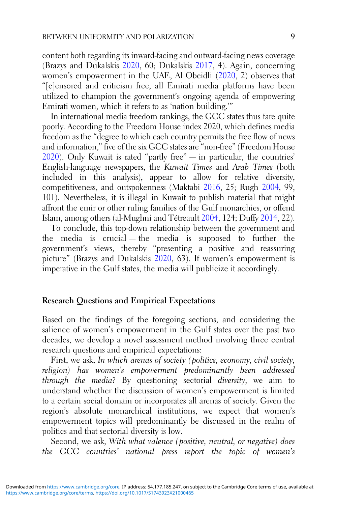content both regarding its inward-facing and outward-facing news coverage (Brazys and Dukalskis [2020,](#page-27-0) 60; Dukalskis [2017](#page-28-0), 4). Again, concerning women's empowerment in the UAE, Al Obeidli ([2020,](#page-27-0) 2) observes that "[c]ensored and criticism free, all Emirati media platforms have been utilized to champion the government's ongoing agenda of empowering Emirati women, which it refers to as 'nation building.'"

In international media freedom rankings, the GCC states thus fare quite poorly. According to the Freedom House index 2020, which defines media freedom as the "degree to which each country permits the free flow of news and information," five of the six GCC states are "non-free" (Freedom House [2020\)](#page-28-0). Only Kuwait is rated "partly free" — in particular, the countries' English-language newspapers, the Kuwait Times and Arab Times (both included in this analysis), appear to allow for relative diversity, competitiveness, and outspokenness (Maktabi [2016](#page-28-0), 25; Rugh [2004](#page-29-0), 99, 101). Nevertheless, it is illegal in Kuwait to publish material that might affront the emir or other ruling families of the Gulf monarchies, or offend Islam, among others (al-Mughni and Tétreault [2004,](#page-27-0) 124; Duffy [2014,](#page-28-0) 22).

To conclude, this top-down relationship between the government and the media is crucial — the media is supposed to further the government's views, thereby "presenting a positive and reassuring picture" (Brazys and Dukalskis [2020,](#page-27-0) 63). If women's empowerment is imperative in the Gulf states, the media will publicize it accordingly.

#### Research Questions and Empirical Expectations

Based on the findings of the foregoing sections, and considering the salience of women's empowerment in the Gulf states over the past two decades, we develop a novel assessment method involving three central research questions and empirical expectations:

First, we ask, In which arenas of society (politics, economy, civil society, religion) has women's empowerment predominantly been addressed through the media? By questioning sectorial diversity, we aim to understand whether the discussion of women's empowerment is limited to a certain social domain or incorporates all arenas of society. Given the region's absolute monarchical institutions, we expect that women's empowerment topics will predominantly be discussed in the realm of politics and that sectorial diversity is low.

Second, we ask, With what valence (positive, neutral, or negative) does the GCC countries' national press report the topic of women's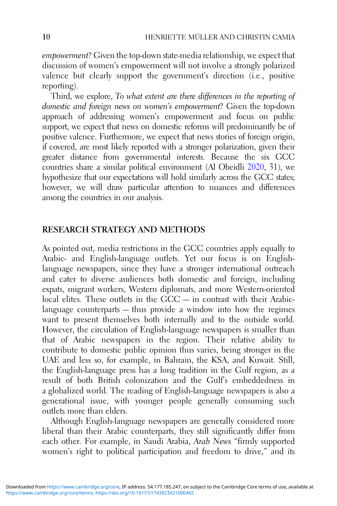empowerment? Given the top-down state-media relationship, we expect that discussion of women's empowerment will not involve a strongly polarized valence but clearly support the government's direction (i.e., positive reporting).

Third, we explore, To what extent are there differences in the reporting of domestic and foreign news on women's empowerment? Given the top-down approach of addressing women's empowerment and focus on public support, we expect that news on domestic reforms will predominantly be of positive valence. Furthermore, we expect that news stories of foreign origin, if covered, are most likely reported with a stronger polarization, given their greater distance from governmental interests. Because the six GCC countries share a similar political environment (Al Obeidli [2020](#page-27-0), 31), we hypothesize that our expectations will hold similarly across the GCC states; however, we will draw particular attention to nuances and differences among the countries in our analysis.

## RESEARCH STRATEGY AND METHODS

As pointed out, media restrictions in the GCC countries apply equally to Arabic- and English-language outlets. Yet our focus is on Englishlanguage newspapers, since they have a stronger international outreach and cater to diverse audiences both domestic and foreign, including expats, migrant workers, Western diplomats, and more Western-oriented local elites. These outlets in the GCC — in contrast with their Arabiclanguage counterparts — thus provide a window into how the regimes want to present themselves both internally and to the outside world. However, the circulation of English-language newspapers is smaller than that of Arabic newspapers in the region. Their relative ability to contribute to domestic public opinion thus varies, being stronger in the UAE and less so, for example, in Bahrain, the KSA, and Kuwait. Still, the English-language press has a long tradition in the Gulf region, as a result of both British colonization and the Gulf's embeddedness in a globalized world. The reading of English-language newspapers is also a generational issue, with younger people generally consuming such outlets more than elders.

Although English-language newspapers are generally considered more liberal than their Arabic counterparts, they still significantly differ from each other. For example, in Saudi Arabia, Arab News "firmly supported women's right to political participation and freedom to drive," and its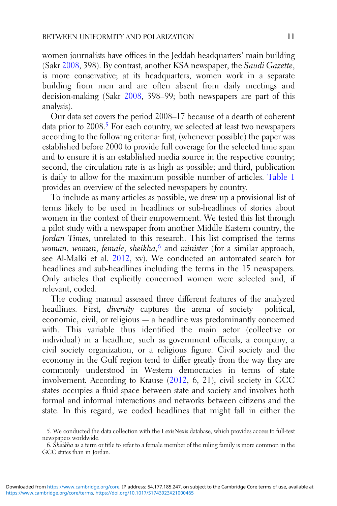women journalists have offices in the Jeddah headquarters' main building (Sakr [2008,](#page-29-0) 398). By contrast, another KSA newspaper, the Saudi Gazette, is more conservative; at its headquarters, women work in a separate building from men and are often absent from daily meetings and decision-making (Sakr [2008](#page-29-0), 398–99; both newspapers are part of this analysis).

Our data set covers the period 2008–17 because of a dearth of coherent data prior to 2008.<sup>5</sup> For each country, we selected at least two newspapers according to the following criteria: first, (whenever possible) the paper was established before 2000 to provide full coverage for the selected time span and to ensure it is an established media source in the respective country; second, the circulation rate is as high as possible; and third, publication is daily to allow for the maximum possible number of articles. [Table 1](#page-12-0) provides an overview of the selected newspapers by country.

To include as many articles as possible, we drew up a provisional list of terms likely to be used in headlines or sub-headlines of stories about women in the context of their empowerment. We tested this list through a pilot study with a newspaper from another Middle Eastern country, the Jordan Times, unrelated to this research. This list comprised the terms woman, women, female, sheikha,<sup>6</sup> and minister (for a similar approach, see Al-Malki et al. [2012](#page-27-0), xv). We conducted an automated search for headlines and sub-headlines including the terms in the 15 newspapers. Only articles that explicitly concerned women were selected and, if relevant, coded.

The coding manual assessed three different features of the analyzed headlines. First, *diversity* captures the arena of society — political, economic, civil, or religious — a headline was predominantly concerned with. This variable thus identified the main actor (collective or individual) in a headline, such as government officials, a company, a civil society organization, or a religious figure. Civil society and the economy in the Gulf region tend to differ greatly from the way they are commonly understood in Western democracies in terms of state involvement. According to Krause [\(2012](#page-28-0), 6, 21), civil society in GCC states occupies a fluid space between state and society and involves both formal and informal interactions and networks between citizens and the state. In this regard, we coded headlines that might fall in either the

<sup>5.</sup> We conducted the data collection with the LexisNexis database, which provides access to full-text newspapers worldwide.

<sup>6.</sup> Sheikha as a term or title to refer to a female member of the ruling family is more common in the GCC states than in Jordan.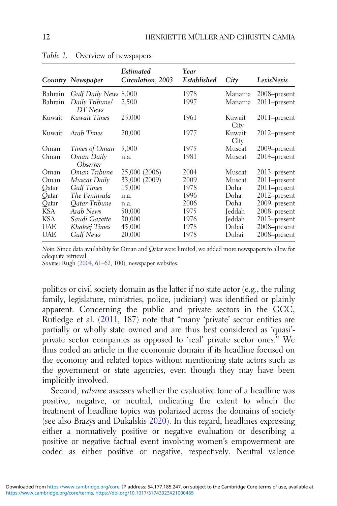|            | Country Newspaper                    | Estimated<br>Circulation, 2003 | Year<br>Established | City           | LexisNexis      |
|------------|--------------------------------------|--------------------------------|---------------------|----------------|-----------------|
| Bahrain    | Gulf Daily News 8,000                |                                | 1978                | Manama         | 2008-present    |
| Bahrain    | Daily Tribune/<br>DT News            | 2,500                          | 1997                | Manama         | 2011-present    |
| Kuwait     | Kuwait Times                         | 25,000                         | 1961                | Kuwait<br>City | $2011$ -present |
| Kuwait     | Arab Times                           | 20,000                         | 1977                | Kuwait<br>City | 2012–present    |
| Oman       | Times of Oman                        | 5,000                          | 1975                | Muscat         | 2009-present    |
| Oman       | Oman Daily<br><i><b>Observer</b></i> | n.a.                           | 1981                | Muscat         | $2014$ -present |
| Oman       | Oman Tribune                         | 25,000 (2006)                  | 2004                | Muscat         | 2013–present    |
| Oman       | Muscat Daily                         | 33,000 (2009)                  | 2009                | Muscat         | 2011-present    |
| Qatar      | <b>Gulf Times</b>                    | 15,000                         | 1978                | Doha           | $2011$ -present |
| Oatar      | The Peninsula                        | n.a.                           | 1996                | Doha           | 2012–present    |
| Oatar      | Oatar Tribune                        | n.a.                           | 2006                | Doha           | 2009-present    |
| KSA        | Arab News                            | 50,000                         | 1975                | Jeddah         | 2008–present    |
| <b>KSA</b> | Saudi Gazette                        | 30,000                         | 1976                | Jeddah         | $2013$ -present |
| <b>UAE</b> | Khaleej Times                        | 45,000                         | 1978                | Dubai          | 2008-present    |
| UAE        | Gulf News                            | 20,000                         | 1978                | Dubai          | 2008–present    |

<span id="page-12-0"></span>Table 1. Overview of newspapers

Note: Since data availability for Oman and Qatar were limited, we added more newspapers to allow for adequate retrieval.

Source: Rugh ([2004,](#page-29-0) 61-62, 100), newspaper websites.

politics or civil society domain as the latter if no state actor (e.g., the ruling family, legislature, ministries, police, judiciary) was identified or plainly apparent. Concerning the public and private sectors in the GCC, Rutledge et al. ([2011,](#page-29-0) 187) note that "many 'private' sector entities are partially or wholly state owned and are thus best considered as 'quasi' private sector companies as opposed to 'real' private sector ones." We thus coded an article in the economic domain if its headline focused on the economy and related topics without mentioning state actors such as the government or state agencies, even though they may have been implicitly involved.

Second, valence assesses whether the evaluative tone of a headline was positive, negative, or neutral, indicating the extent to which the treatment of headline topics was polarized across the domains of society (see also Brazys and Dukalskis [2020](#page-27-0)). In this regard, headlines expressing either a normatively positive or negative evaluation or describing a positive or negative factual event involving women's empowerment are coded as either positive or negative, respectively. Neutral valence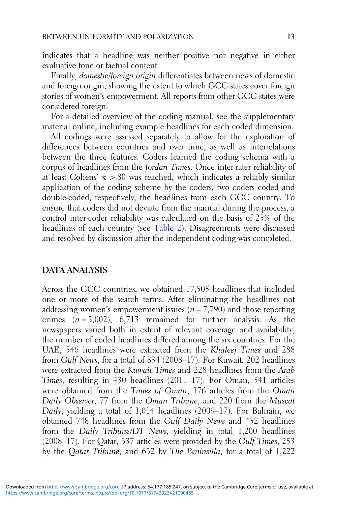indicates that a headline was neither positive nor negative in either evaluative tone or factual content.

Finally, domestic/foreign origin differentiates between news of domestic and foreign origin, showing the extent to which GCC states cover foreign stories of women's empowerment. All reports from other GCC states were considered foreign.

For a detailed overview of the coding manual, see the supplementary material online, including example headlines for each coded dimension.

All codings were assessed separately to allow for the exploration of differences between countries and over time, as well as interrelations between the three features. Coders learned the coding schema with a corpus of headlines from the Jordan Times. Once inter-rater reliability of at least Cohens' κ >.80 was reached, which indicates a reliably similar application of the coding scheme by the coders, two coders coded and double-coded, respectively, the headlines from each GCC country. To ensure that coders did not deviate from the manual during the process, a control inter-coder reliability was calculated on the basis of 25% of the headlines of each country (see [Table 2](#page-14-0)). Disagreements were discussed and resolved by discussion after the independent coding was completed.

#### DATA ANALYSIS

Across the GCC countries, we obtained 17,505 headlines that included one or more of the search terms. After eliminating the headlines not addressing women's empowerment issues ( $n = 7,790$ ) and those reporting crimes  $(n = 3,002)$ , 6,713 remained for further analysis. As the newspapers varied both in extent of relevant coverage and availability, the number of coded headlines differed among the six countries. For the UAE, 546 headlines were extracted from the Khaleej Times and 288 from Gulf News, for a total of 834 (2008–17). For Kuwait, 202 headlines were extracted from the Kuwait Times and 228 headlines from the Arab Times, resulting in 430 headlines (2011–17). For Oman, 541 articles were obtained from the Times of Oman, 176 articles from the Oman Daily Observer, 77 from the Oman Tribune, and 220 from the Muscat Daily, yielding a total of 1,014 headlines (2009–17). For Bahrain, we obtained 748 headlines from the Gulf Daily News and 452 headlines from the Daily Tribune/DT News, yielding in total 1,200 headlines (2008–17). For Qatar, 337 articles were provided by the Gulf Times, 253 by the Qatar Tribune, and 632 by The Peninsula, for a total of 1,222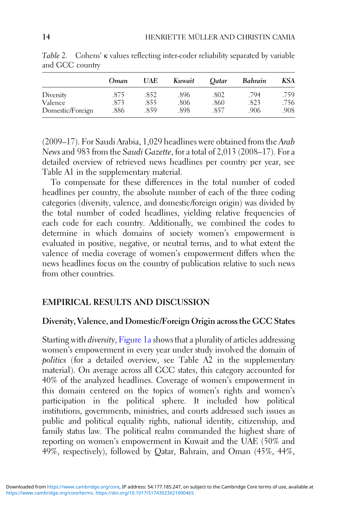|                  | Oman | UAE  | Kuwait | <b>Oatar</b> | Bahrain | <b>KSA</b> |
|------------------|------|------|--------|--------------|---------|------------|
| Diversity        | .875 | .852 | .896   | .802         | .794    | .759       |
| Valence          | 873  | .855 | .806   | .860         | .823    | .756       |
| Domestic/Foreign | .886 | .859 | .898   | .857         | .906    | .908       |

<span id="page-14-0"></span>Table 2. Cohens' κ values reflecting inter-coder reliability separated by variable and GCC country

(2009–17). For Saudi Arabia, 1,029 headlines were obtained from the Arab News and 983 from the Saudi Gazette, for a total of 2,013 (2008–17). For a detailed overview of retrieved news headlines per country per year, see Table A1 in the supplementary material.

To compensate for these differences in the total number of coded headlines per country, the absolute number of each of the three coding categories (diversity, valence, and domestic/foreign origin) was divided by the total number of coded headlines, yielding relative frequencies of each code for each country. Additionally, we combined the codes to determine in which domains of society women's empowerment is evaluated in positive, negative, or neutral terms, and to what extent the valence of media coverage of women's empowerment differs when the news headlines focus on the country of publication relative to such news from other countries.

## EMPIRICAL RESULTS AND DISCUSSION

## Diversity, Valence, and Domestic/Foreign Origin across the GCC States

Starting with *diversity*, [Figure 1a](#page-15-0) shows that a plurality of articles addressing women's empowerment in every year under study involved the domain of politics (for a detailed overview, see Table A2 in the supplementary material). On average across all GCC states, this category accounted for 40% of the analyzed headlines. Coverage of women's empowerment in this domain centered on the topics of women's rights and women's participation in the political sphere. It included how political institutions, governments, ministries, and courts addressed such issues as public and political equality rights, national identity, citizenship, and family status law. The political realm commanded the highest share of reporting on women's empowerment in Kuwait and the UAE (50% and 49%, respectively), followed by Qatar, Bahrain, and Oman (45%, 44%,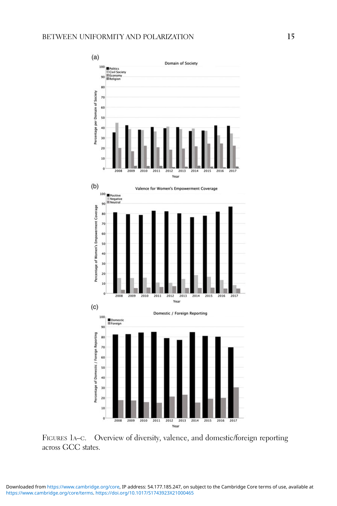<span id="page-15-0"></span>

FIGURES 1A–C. Overview of diversity, valence, and domestic/foreign reporting across GCC states.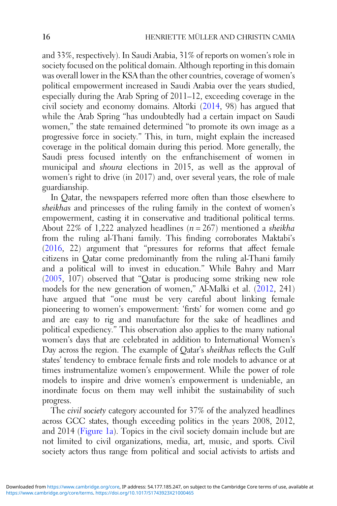and 33%, respectively). In Saudi Arabia, 31% of reports on women's role in society focused on the political domain. Although reporting in this domain was overall lower in the KSA than the other countries, coverage of women's political empowerment increased in Saudi Arabia over the years studied, especially during the Arab Spring of 2011–12, exceeding coverage in the civil society and economy domains. Altorki ([2014,](#page-27-0) 98) has argued that while the Arab Spring "has undoubtedly had a certain impact on Saudi women," the state remained determined "to promote its own image as a progressive force in society." This, in turn, might explain the increased coverage in the political domain during this period. More generally, the Saudi press focused intently on the enfranchisement of women in municipal and shoura elections in 2015, as well as the approval of women's right to drive (in 2017) and, over several years, the role of male guardianship.

In Qatar, the newspapers referred more often than those elsewhere to sheikhas and princesses of the ruling family in the context of women's empowerment, casting it in conservative and traditional political terms. About 22% of 1,222 analyzed headlines ( $n = 267$ ) mentioned a sheikha from the ruling al-Thani family. This finding corroborates Maktabi's ([2016,](#page-28-0) 22) argument that "pressures for reforms that affect female citizens in Qatar come predominantly from the ruling al-Thani family and a political will to invest in education." While Bahry and Marr ([2005,](#page-27-0) 107) observed that "Qatar is producing some striking new role models for the new generation of women," Al-Malki et al. ([2012,](#page-27-0) 241) have argued that "one must be very careful about linking female pioneering to women's empowerment: 'firsts' for women come and go and are easy to rig and manufacture for the sake of headlines and political expediency." This observation also applies to the many national women's days that are celebrated in addition to International Women's Day across the region. The example of Qatar's sheikhas reflects the Gulf states' tendency to embrace female firsts and role models to advance or at times instrumentalize women's empowerment. While the power of role models to inspire and drive women's empowerment is undeniable, an inordinate focus on them may well inhibit the sustainability of such progress.

The civil society category accounted for 37% of the analyzed headlines across GCC states, though exceeding politics in the years 2008, 2012, and 2014 ([Figure 1a](#page-15-0)). Topics in the civil society domain include but are not limited to civil organizations, media, art, music, and sports. Civil society actors thus range from political and social activists to artists and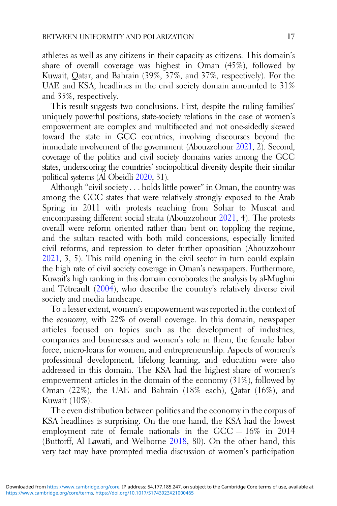athletes as well as any citizens in their capacity as citizens. This domain's share of overall coverage was highest in Oman (45%), followed by Kuwait, Qatar, and Bahrain (39%, 37%, and 37%, respectively). For the UAE and KSA, headlines in the civil society domain amounted to 31% and 35%, respectively.

This result suggests two conclusions. First, despite the ruling families' uniquely powerful positions, state-society relations in the case of women's empowerment are complex and multifaceted and not one-sidedly skewed toward the state in GCC countries, involving discourses beyond the immediate involvement of the government (Abouzzohour [2021](#page-27-0), 2). Second, coverage of the politics and civil society domains varies among the GCC states, underscoring the countries' sociopolitical diversity despite their similar political systems (Al Obeidli [2020,](#page-27-0) 31).

Although "civil society . . . holds little power" in Oman, the country was among the GCC states that were relatively strongly exposed to the Arab Spring in 2011 with protests reaching from Sohar to Muscat and encompassing different social strata (Abouzzohour [2021,](#page-27-0) 4). The protests overall were reform oriented rather than bent on toppling the regime, and the sultan reacted with both mild concessions, especially limited civil reforms, and repression to deter further opposition (Abouzzohour [2021](#page-27-0), 3, 5). This mild opening in the civil sector in turn could explain the high rate of civil society coverage in Oman's newspapers. Furthermore, Kuwait's high ranking in this domain corroborates the analysis by al-Mughni and Tétreault [\(2004](#page-27-0)), who describe the country's relatively diverse civil society and media landscape.

To a lesser extent, women's empowerment was reported in the context of the economy, with 22% of overall coverage. In this domain, newspaper articles focused on topics such as the development of industries, companies and businesses and women's role in them, the female labor force, micro-loans for women, and entrepreneurship. Aspects of women's professional development, lifelong learning, and education were also addressed in this domain. The KSA had the highest share of women's empowerment articles in the domain of the economy (31%), followed by Oman (22%), the UAE and Bahrain (18% each), Qatar (16%), and Kuwait (10%).

The even distribution between politics and the economy in the corpus of KSA headlines is surprising. On the one hand, the KSA had the lowest employment rate of female nationals in the GCC — 16% in 2014 (Buttorff, Al Lawati, and Welborne [2018](#page-27-0), 80). On the other hand, this very fact may have prompted media discussion of women's participation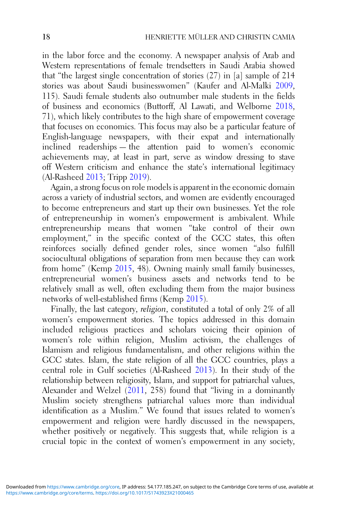in the labor force and the economy. A newspaper analysis of Arab and Western representations of female trendsetters in Saudi Arabia showed that "the largest single concentration of stories (27) in [a] sample of 214 stories was about Saudi businesswomen" (Kaufer and Al-Malki [2009](#page-28-0), 115). Saudi female students also outnumber male students in the fields of business and economics (Buttorff, Al Lawati, and Welborne [2018](#page-27-0), 71), which likely contributes to the high share of empowerment coverage that focuses on economics. This focus may also be a particular feature of English-language newspapers, with their expat and internationally inclined readerships — the attention paid to women's economic achievements may, at least in part, serve as window dressing to stave off Western criticism and enhance the state's international legitimacy (Al-Rasheed [2013](#page-27-0); Tripp [2019\)](#page-29-0).

Again, a strong focus on role models is apparent in the economic domain across a variety of industrial sectors, and women are evidently encouraged to become entrepreneurs and start up their own businesses. Yet the role of entrepreneurship in women's empowerment is ambivalent. While entrepreneurship means that women "take control of their own employment," in the specific context of the GCC states, this often reinforces socially defined gender roles, since women "also fulfill sociocultural obligations of separation from men because they can work from home" (Kemp [2015](#page-28-0), 48). Owning mainly small family businesses, entrepreneurial women's business assets and networks tend to be relatively small as well, often excluding them from the major business networks of well-established firms (Kemp [2015\)](#page-28-0).

Finally, the last category, religion, constituted a total of only 2% of all women's empowerment stories. The topics addressed in this domain included religious practices and scholars voicing their opinion of women's role within religion, Muslim activism, the challenges of Islamism and religious fundamentalism, and other religions within the GCC states. Islam, the state religion of all the GCC countries, plays a central role in Gulf societies (Al-Rasheed [2013](#page-27-0)). In their study of the relationship between religiosity, Islam, and support for patriarchal values, Alexander and Welzel [\(2011](#page-27-0), 258) found that "living in a dominantly Muslim society strengthens patriarchal values more than individual identification as a Muslim." We found that issues related to women's empowerment and religion were hardly discussed in the newspapers, whether positively or negatively. This suggests that, while religion is a crucial topic in the context of women's empowerment in any society,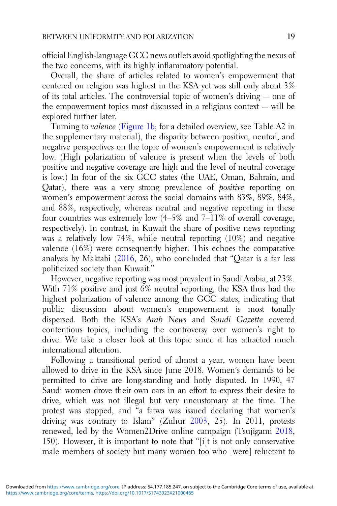official English-language GCC news outlets avoid spotlighting the nexus of the two concerns, with its highly inflammatory potential.

Overall, the share of articles related to women's empowerment that centered on religion was highest in the KSA yet was still only about 3% of its total articles. The controversial topic of women's driving — one of the empowerment topics most discussed in a religious context — will be explored further later.

Turning to valence [\(Figure 1b](#page-15-0); for a detailed overview, see Table A2 in the supplementary material), the disparity between positive, neutral, and negative perspectives on the topic of women's empowerment is relatively low. (High polarization of valence is present when the levels of both positive and negative coverage are high and the level of neutral coverage is low.) In four of the six GCC states (the UAE, Oman, Bahrain, and Qatar), there was a very strong prevalence of positive reporting on women's empowerment across the social domains with 83%, 89%, 84%, and 88%, respectively, whereas neutral and negative reporting in these four countries was extremely low (4–5% and 7–11% of overall coverage, respectively). In contrast, in Kuwait the share of positive news reporting was a relatively low 74%, while neutral reporting (10%) and negative valence (16%) were consequently higher. This echoes the comparative analysis by Maktabi [\(2016](#page-28-0), 26), who concluded that "Qatar is a far less politicized society than Kuwait."

However, negative reporting was most prevalent in Saudi Arabia, at 23%. With 71% positive and just 6% neutral reporting, the KSA thus had the highest polarization of valence among the GCC states, indicating that public discussion about women's empowerment is most tonally dispersed. Both the KSA's Arab News and Saudi Gazette covered contentious topics, including the controversy over women's right to drive. We take a closer look at this topic since it has attracted much international attention.

Following a transitional period of almost a year, women have been allowed to drive in the KSA since June 2018. Women's demands to be permitted to drive are long-standing and hotly disputed. In 1990, 47 Saudi women drove their own cars in an effort to express their desire to drive, which was not illegal but very uncustomary at the time. The protest was stopped, and "a fatwa was issued declaring that women's driving was contrary to Islam" (Zuhur [2003,](#page-29-0) 25). In 2011, protests renewed, led by the Women2Drive online campaign (Tsujigami [2018](#page-29-0), 150). However, it is important to note that "[i]t is not only conservative male members of society but many women too who [were] reluctant to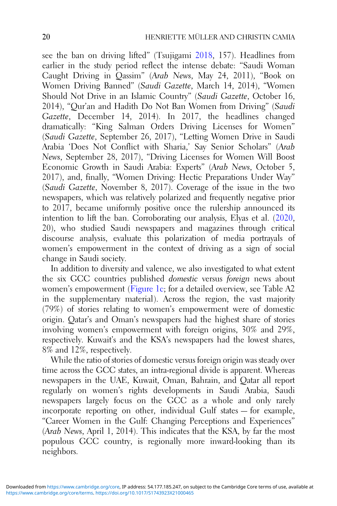see the ban on driving lifted" (Tsujigami [2018](#page-29-0), 157). Headlines from earlier in the study period reflect the intense debate: "Saudi Woman Caught Driving in Qassim" (Arab News, May 24, 2011), "Book on Women Driving Banned" (Saudi Gazette, March 14, 2014), "Women Should Not Drive in an Islamic Country" (Saudi Gazette, October 16, 2014), "Qur'an and Hadith Do Not Ban Women from Driving" (Saudi Gazette, December 14, 2014). In 2017, the headlines changed dramatically: "King Salman Orders Driving Licenses for Women" (Saudi Gazette, September 26, 2017), "Letting Women Drive in Saudi Arabia 'Does Not Conflict with Sharia,' Say Senior Scholars" (Arab News, September 28, 2017), "Driving Licenses for Women Will Boost Economic Growth in Saudi Arabia: Experts" (Arab News, October 5, 2017), and, finally, "Women Driving: Hectic Preparations Under Way" (Saudi Gazette, November 8, 2017). Coverage of the issue in the two newspapers, which was relatively polarized and frequently negative prior to 2017, became uniformly positive once the rulership announced its intention to lift the ban. Corroborating our analysis, Elyas et al. [\(2020](#page-28-0), 20), who studied Saudi newspapers and magazines through critical discourse analysis, evaluate this polarization of media portrayals of women's empowerment in the context of driving as a sign of social change in Saudi society.

In addition to diversity and valence, we also investigated to what extent the six GCC countries published domestic versus foreign news about women's empowerment [\(Figure 1c;](#page-15-0) for a detailed overview, see Table A2 in the supplementary material). Across the region, the vast majority (79%) of stories relating to women's empowerment were of domestic origin. Qatar's and Oman's newspapers had the highest share of stories involving women's empowerment with foreign origins, 30% and 29%, respectively. Kuwait's and the KSA's newspapers had the lowest shares, 8% and 12%, respectively.

While the ratio of stories of domestic versus foreign origin was steady over time across the GCC states, an intra-regional divide is apparent. Whereas newspapers in the UAE, Kuwait, Oman, Bahrain, and Qatar all report regularly on women's rights developments in Saudi Arabia, Saudi newspapers largely focus on the GCC as a whole and only rarely incorporate reporting on other, individual Gulf states — for example, "Career Women in the Gulf: Changing Perceptions and Experiences" (Arab News, April 1, 2014). This indicates that the KSA, by far the most populous GCC country, is regionally more inward-looking than its neighbors.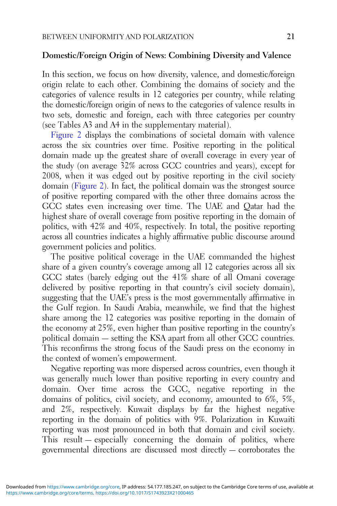#### Domestic/Foreign Origin of News: Combining Diversity and Valence

In this section, we focus on how diversity, valence, and domestic/foreign origin relate to each other. Combining the domains of society and the categories of valence results in 12 categories per country, while relating the domestic/foreign origin of news to the categories of valence results in two sets, domestic and foreign, each with three categories per country (see Tables A3 and A4 in the supplementary material).

[Figure 2](#page-22-0) displays the combinations of societal domain with valence across the six countries over time. Positive reporting in the political domain made up the greatest share of overall coverage in every year of the study (on average 32% across GCC countries and years), except for 2008, when it was edged out by positive reporting in the civil society domain [\(Figure 2](#page-22-0)). In fact, the political domain was the strongest source of positive reporting compared with the other three domains across the GCC states even increasing over time. The UAE and Qatar had the highest share of overall coverage from positive reporting in the domain of politics, with 42% and 40%, respectively. In total, the positive reporting across all countries indicates a highly affirmative public discourse around government policies and politics.

The positive political coverage in the UAE commanded the highest share of a given country's coverage among all 12 categories across all six GCC states (barely edging out the 41% share of all Omani coverage delivered by positive reporting in that country's civil society domain), suggesting that the UAE's press is the most governmentally affirmative in the Gulf region. In Saudi Arabia, meanwhile, we find that the highest share among the 12 categories was positive reporting in the domain of the economy at 25%, even higher than positive reporting in the country's political domain — setting the KSA apart from all other GCC countries. This reconfirms the strong focus of the Saudi press on the economy in the context of women's empowerment.

Negative reporting was more dispersed across countries, even though it was generally much lower than positive reporting in every country and domain. Over time across the GCC, negative reporting in the domains of politics, civil society, and economy, amounted to 6%, 5%, and 2%, respectively. Kuwait displays by far the highest negative reporting in the domain of politics with 9%. Polarization in Kuwaiti reporting was most pronounced in both that domain and civil society. This result — especially concerning the domain of politics, where governmental directions are discussed most directly — corroborates the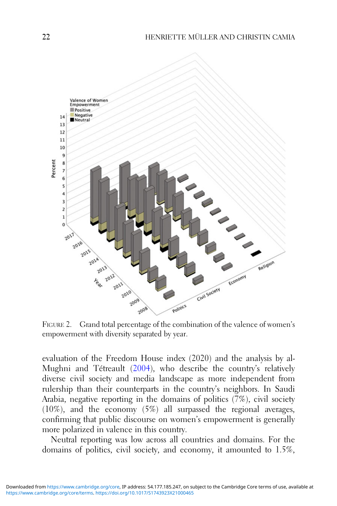<span id="page-22-0"></span>

FIGURE 2. Grand total percentage of the combination of the valence of women's empowerment with diversity separated by year.

evaluation of the Freedom House index (2020) and the analysis by al-Mughni and Tétreault [\(2004](#page-27-0)), who describe the country's relatively diverse civil society and media landscape as more independent from rulership than their counterparts in the country's neighbors. In Saudi Arabia, negative reporting in the domains of politics (7%), civil society (10%), and the economy (5%) all surpassed the regional averages, confirming that public discourse on women's empowerment is generally more polarized in valence in this country.

Neutral reporting was low across all countries and domains. For the domains of politics, civil society, and economy, it amounted to 1.5%,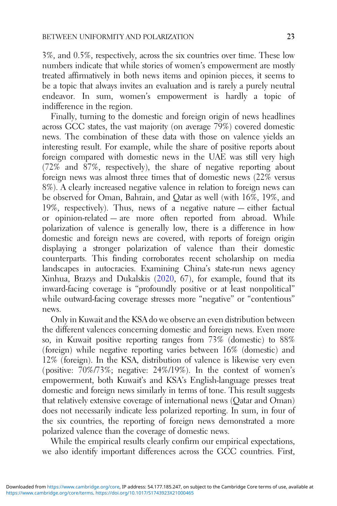3%, and 0.5%, respectively, across the six countries over time. These low numbers indicate that while stories of women's empowerment are mostly treated affirmatively in both news items and opinion pieces, it seems to be a topic that always invites an evaluation and is rarely a purely neutral endeavor. In sum, women's empowerment is hardly a topic of indifference in the region.

Finally, turning to the domestic and foreign origin of news headlines across GCC states, the vast majority (on average 79%) covered domestic news. The combination of these data with those on valence yields an interesting result. For example, while the share of positive reports about foreign compared with domestic news in the UAE was still very high (72% and 87%, respectively), the share of negative reporting about foreign news was almost three times that of domestic news (22% versus 8%). A clearly increased negative valence in relation to foreign news can be observed for Oman, Bahrain, and Qatar as well (with 16%, 19%, and 19%, respectively). Thus, news of a negative nature — either factual or opinion-related — are more often reported from abroad. While polarization of valence is generally low, there is a difference in how domestic and foreign news are covered, with reports of foreign origin displaying a stronger polarization of valence than their domestic counterparts. This finding corroborates recent scholarship on media landscapes in autocracies. Examining China's state-run news agency Xinhua, Brazys and Dukalskis ([2020,](#page-27-0) 67), for example, found that its inward-facing coverage is "profoundly positive or at least nonpolitical" while outward-facing coverage stresses more "negative" or "contentious" news.

Only in Kuwait and the KSA do we observe an even distribution between the different valences concerning domestic and foreign news. Even more so, in Kuwait positive reporting ranges from 73% (domestic) to 88% (foreign) while negative reporting varies between 16% (domestic) and 12% (foreign). In the KSA, distribution of valence is likewise very even (positive: 70%/73%; negative: 24%/19%). In the context of women's empowerment, both Kuwait's and KSA's English-language presses treat domestic and foreign news similarly in terms of tone. This result suggests that relatively extensive coverage of international news (Qatar and Oman) does not necessarily indicate less polarized reporting. In sum, in four of the six countries, the reporting of foreign news demonstrated a more polarized valence than the coverage of domestic news.

While the empirical results clearly confirm our empirical expectations, we also identify important differences across the GCC countries. First,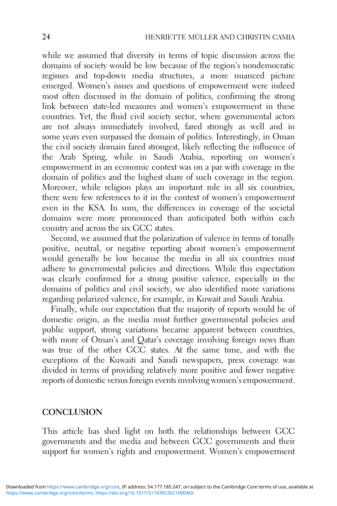while we assumed that diversity in terms of topic discussion across the domains of society would be low because of the region's nondemocratic regimes and top-down media structures, a more nuanced picture emerged. Women's issues and questions of empowerment were indeed most often discussed in the domain of politics, confirming the strong link between state-led measures and women's empowerment in these countries. Yet, the fluid civil society sector, where governmental actors are not always immediately involved, fared strongly as well and in some years even surpassed the domain of politics. Interestingly, in Oman the civil society domain fared strongest, likely reflecting the influence of the Arab Spring, while in Saudi Arabia, reporting on women's empowerment in an economic context was on a par with coverage in the domain of politics and the highest share of such coverage in the region. Moreover, while religion plays an important role in all six countries, there were few references to it in the context of women's empowerment even in the KSA. In sum, the differences in coverage of the societal domains were more pronounced than anticipated both within each country and across the six GCC states.

Second, we assumed that the polarization of valence in terms of tonally positive, neutral, or negative reporting about women's empowerment would generally be low because the media in all six countries must adhere to governmental policies and directions. While this expectation was clearly confirmed for a strong positive valence, especially in the domains of politics and civil society, we also identified more variations regarding polarized valence, for example, in Kuwait and Saudi Arabia.

Finally, while our expectation that the majority of reports would be of domestic origin, as the media must further governmental policies and public support, strong variations became apparent between countries, with more of Oman's and Oatar's coverage involving foreign news than was true of the other GCC states. At the same time, and with the exceptions of the Kuwaiti and Saudi newspapers, press coverage was divided in terms of providing relatively more positive and fewer negative reports of domestic versus foreign events involving women's empowerment.

## **CONCLUSION**

This article has shed light on both the relationships between GCC governments and the media and between GCC governments and their support for women's rights and empowerment. Women's empowerment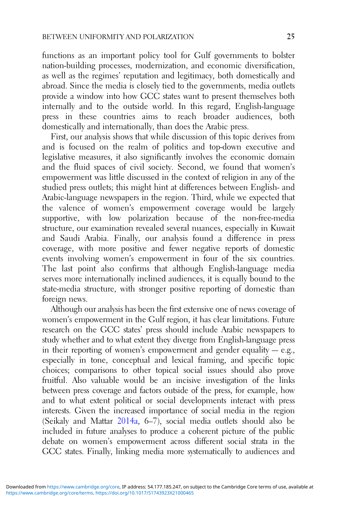functions as an important policy tool for Gulf governments to bolster nation-building processes, modernization, and economic diversification, as well as the regimes' reputation and legitimacy, both domestically and abroad. Since the media is closely tied to the governments, media outlets provide a window into how GCC states want to present themselves both internally and to the outside world. In this regard, English-language press in these countries aims to reach broader audiences, both domestically and internationally, than does the Arabic press.

First, our analysis shows that while discussion of this topic derives from and is focused on the realm of politics and top-down executive and legislative measures, it also significantly involves the economic domain and the fluid spaces of civil society. Second, we found that women's empowerment was little discussed in the context of religion in any of the studied press outlets; this might hint at differences between English- and Arabic-language newspapers in the region. Third, while we expected that the valence of women's empowerment coverage would be largely supportive, with low polarization because of the non-free-media structure, our examination revealed several nuances, especially in Kuwait and Saudi Arabia. Finally, our analysis found a difference in press coverage, with more positive and fewer negative reports of domestic events involving women's empowerment in four of the six countries. The last point also confirms that although English-language media serves more internationally inclined audiences, it is equally bound to the state-media structure, with stronger positive reporting of domestic than foreign news.

Although our analysis has been the first extensive one of news coverage of women's empowerment in the Gulf region, it has clear limitations. Future research on the GCC states' press should include Arabic newspapers to study whether and to what extent they diverge from English-language press in their reporting of women's empowerment and gender equality  $-e.g.,$ especially in tone, conceptual and lexical framing, and specific topic choices; comparisons to other topical social issues should also prove fruitful. Also valuable would be an incisive investigation of the links between press coverage and factors outside of the press, for example, how and to what extent political or social developments interact with press interests. Given the increased importance of social media in the region (Seikaly and Mattar [2014a,](#page-29-0) 6–7), social media outlets should also be included in future analyses to produce a coherent picture of the public debate on women's empowerment across different social strata in the GCC states. Finally, linking media more systematically to audiences and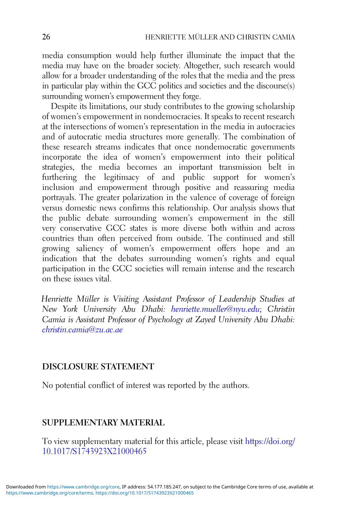media consumption would help further illuminate the impact that the media may have on the broader society. Altogether, such research would allow for a broader understanding of the roles that the media and the press in particular play within the GCC politics and societies and the discourse(s) surrounding women's empowerment they forge.

Despite its limitations, our study contributes to the growing scholarship of women's empowerment in nondemocracies. It speaks to recent research at the intersections of women's representation in the media in autocracies and of autocratic media structures more generally. The combination of these research streams indicates that once nondemocratic governments incorporate the idea of women's empowerment into their political strategies, the media becomes an important transmission belt in furthering the legitimacy of and public support for women's inclusion and empowerment through positive and reassuring media portrayals. The greater polarization in the valence of coverage of foreign versus domestic news confirms this relationship. Our analysis shows that the public debate surrounding women's empowerment in the still very conservative GCC states is more diverse both within and across countries than often perceived from outside. The continued and still growing saliency of women's empowerment offers hope and an indication that the debates surrounding women's rights and equal participation in the GCC societies will remain intense and the research on these issues vital.

Henriette Müller is Visiting Assistant Professor of Leadership Studies at New York University Abu Dhabi: [henriette.mueller@nyu.edu](mailto:henriette.mueller@nyu.edu); Christin Camia is Assistant Professor of Psychology at Zayed University Abu Dhabi: [christin.camia@zu.ac.ae](mailto:christin.camia@zu.ac.ae)

# DISCLOSURE STATEMENT

No potential conflict of interest was reported by the authors.

# SUPPLEMENTARY MATERIAL

To view supplementary material for this article, please visit [https://doi.org/](https://doi.org/10.1017/S1743923X21000465) [10.1017/S1743923X21000465](https://doi.org/10.1017/S1743923X21000465)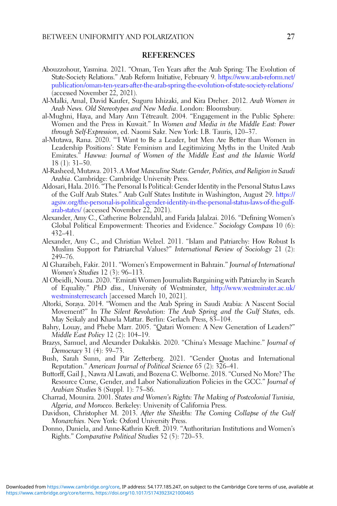#### REFERENCES

- <span id="page-27-0"></span>Abouzzohour, Yasmina. 2021. "Oman, Ten Years after the Arab Spring: The Evolution of State-Society Relations." Arab Reform Initiative, February 9. [https://www.arab-reform.net/](https://www.arab-reform.net/publication/oman-ten-years-after-the-arab-spring-the-evolution-of-state-society-relations/) [publication/oman-ten-years-after-the-arab-spring-the-evolution-of-state-society-relations/](https://www.arab-reform.net/publication/oman-ten-years-after-the-arab-spring-the-evolution-of-state-society-relations/) (accessed November 22, 2021).
- Al-Malki, Amal, David Kaufer, Suguru Ishizaki, and Kira Dreher. 2012. Arab Women in Arab News. Old Stereotypes and New Media. London: Bloomsbury.
- al-Mughni, Haya, and Mary Ann Tétreault. 2004. "Engagement in the Public Sphere: Women and the Press in Kuwait." In Women and Media in the Middle East: Power through Self-Expression, ed. Naomi Sakr. New York: I.B. Tauris, 120–37.
- al-Mutawa, Rana. 2020. "'I Want to Be a Leader, but Men Are Better than Women in Leadership Positions': State Feminism and Legitimizing Myths in the United Arab Emirates." Hawwa: Journal of Women of the Middle East and the Islamic World 18 (1): 31–50.
- Al-Rasheed, Mutawa. 2013. A Most Masculine State: Gender, Politics, and Religion in Saudi Arabia. Cambridge: Cambridge University Press.
- Aldosari, Hala. 2016. "The Personal Is Political: Gender Identity in the Personal Status Laws of the Gulf Arab States." Arab Gulf States Institute in Washington, August 29. [https://](https://agsiw.org/the-personal-is-political-gender-identity-in-the-personal-status-laws-of-the-gulf-arab-states/) [agsiw.org/the-personal-is-political-gender-identity-in-the-personal-status-laws-of-the-gulf](https://agsiw.org/the-personal-is-political-gender-identity-in-the-personal-status-laws-of-the-gulf-arab-states/)[arab-states/](https://agsiw.org/the-personal-is-political-gender-identity-in-the-personal-status-laws-of-the-gulf-arab-states/) (accessed November 22, 2021).
- Alexander, Amy C., Catherine Bolzendahl, and Farida Jalalzai. 2016. "Defining Women's Global Political Empowerment: Theories and Evidence." Sociology Compass 10 (6): 432–41.
- Alexander, Amy C., and Christian Welzel. 2011. "Islam and Patriarchy: How Robust Is Muslim Support for Patriarchal Values?" International Review of Sociology 21 (2): 249–76.
- Al Gharaibeh, Fakir. 2011. "Women's Empowerment in Bahrain." Journal of International Women's Studies 12 (3): 96–113.
- Al Obeidli, Noura. 2020. "Emirati Women Journalists Bargaining with Patriarchy in Search of Equality." PhD diss., University of Westminster, [http://www.westminster.ac.uk/](http://www.westminster.ac.uk/westminsterresearch) [westminsterresearch](http://www.westminster.ac.uk/westminsterresearch) [accessed March 10, 2021].
- Altorki, Soraya. 2014. "Women and the Arab Spring in Saudi Arabia: A Nascent Social Movement?" In The Silent Revolution: The Arab Spring and the Gulf States, eds. May Seikaly and Khawla Mattar. Berlin: Gerlach Press, 83–104.
- Bahry, Louay, and Phebe Marr. 2005. "Qatari Women: A New Generation of Leaders?" Middle East Policy 12 (2): 104–19.
- Brazys, Samuel, and Alexander Dukalskis. 2020. "China's Message Machine." Journal of Democracy 31 (4): 59–73.
- Bush, Sarah Sunn, and Pär Zetterberg. 2021. "Gender Quotas and International Reputation." American Journal of Political Science 65 (2): 326–41.
- Buttorff, Gail J., Nawra Al Lawati, and Bozena C. Welborne. 2018. "Cursed No More? The Resource Curse, Gender, and Labor Nationalization Policies in the GCC." Journal of Arabian Studies 8 (Suppl. 1): 75–86.
- Charrad, Mounira. 2001. States and Women's Rights: The Making of Postcolonial Tunisia, Algeria, and Morocco. Berkeley: University of California Press.
- Davidson, Christopher M. 2013. After the Sheikhs: The Coming Collapse of the Gulf Monarchies. New York: Oxford University Press.
- Donno, Daniela, and Anne-Kathrin Kreft. 2019. "Authoritarian Institutions and Women's Rights." Comparative Political Studies 52 (5): 720–53.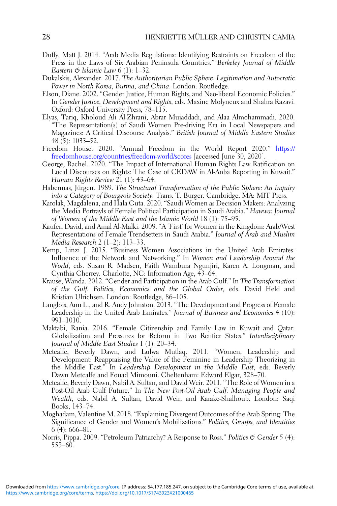- <span id="page-28-0"></span>Duffy, Matt J. 2014. "Arab Media Regulations: Identifying Restraints on Freedom of the Press in the Laws of Six Arabian Peninsula Countries." Berkeley Journal of Middle Eastern  $\mathfrak{S}$  Islamic Law 6 (1): 1–32.
- Dukalskis, Alexander. 2017. The Authoritarian Public Sphere: Legitimation and Autocratic Power in North Korea, Burma, and China. London: Routledge.
- Elson, Diane. 2002. "Gender Justice, Human Rights, and Neo-liberal Economic Policies." In Gender Justice, Development and Rights, eds. Maxine Molyneux and Shahra Razavi. Oxford: Oxford University Press, 78–115.
- Elyas, Tariq, Kholoud Ali Al-Zhrani, Abrar Mujaddadi, and Alaa Almohammadi. 2020. "The Representation(s) of Saudi Women Pre-driving Era in Local Newspapers and Magazines: A Critical Discourse Analysis." British Journal of Middle Eastern Studies 48 (5): 1033–52.
- Freedom House. 2020. "Annual Freedom in the World Report 2020." [https://](https://freedomhouse.org/countries/freedom-world/scores) [freedomhouse.org/countries/freedom-world/scores](https://freedomhouse.org/countries/freedom-world/scores) [accessed June 30, 2020].
- George, Rachel. 2020. "The Impact of International Human Rights Law Ratification on Local Discourses on Rights: The Case of CEDAW in Al-Anba Reporting in Kuwait." Human Rights Review 21 (1): 43–64.
- Habermas, Jürgen. 1989. The Structural Transformation of the Public Sphere: An Inquiry into a Category of Bourgeois Society. Trans. T. Burger. Cambridge, MA: MIT Press.
- Karolak, Magdalena, and Hala Guta. 2020. "Saudi Women as Decision Makers: Analyzing the Media Portrayls of Female Political Participation in Saudi Arabia." Hawwa: Journal of Women of the Middle East and the Islamic World 18 (1): 75–95.
- Kaufer, David, and Amal Al-Malki. 2009. "A 'First' for Women in the Kingdom: Arab/West Representations of Female Trendsetters in Saudi Arabia." Journal of Arab and Muslim Media Research 2 (1–2): 113–33.
- Kemp, Linzi J. 2015. "Business Women Associations in the United Arab Emirates: Influence of the Network and Networking." In Women and Leadership Around the World, eds. Susan R. Madsen, Faith Wambura Ngunjiri, Karen A. Longman, and Cynthia Cherrey. Charlotte, NC: Information Age, 43–64.
- Krause, Wanda. 2012. "Gender and Participation in the Arab Gulf." In The Transformation of the Gulf. Politics, Economics and the Global Order, eds. David Held and Kristian Ulrichsen. London: Routledge, 86–105.
- Langlois, Ann L., and R. Audy Johnston. 2013. "The Development and Progress of Female Leadership in the United Arab Emirates." Journal of Business and Economics 4 (10): 991–1010.
- Maktabi, Rania. 2016. "Female Citizenship and Family Law in Kuwait and Qatar: Globalization and Pressures for Reform in Two Rentier States." Interdisciplinary Journal of Middle East Studies 1 (1): 20–34.
- Metcalfe, Beverly Dawn, and Lulwa Mutlaq. 2011. "Women, Leadership and Development: Reappraising the Value of the Feminine in Leadership Theorizing in the Middle East." In Leadership Development in the Middle East, eds. Beverly Dawn Metcalfe and Fouad Mimouni. Cheltenham: Edward Elgar, 328–70.
- Metcalfe, Beverly Dawn, Nabil A. Sultan, and David Weir. 2011. "The Role of Women in a Post-Oil Arab Gulf Future." In The New Post-Oil Arab Gulf. Managing People and Wealth, eds. Nabil A. Sultan, David Weir, and Karake-Shalhoub. London: Saqi Books, 143–74.
- Moghadam, Valentine M. 2018. "Explaining Divergent Outcomes of the Arab Spring: The Significance of Gender and Women's Mobilizations." Politics, Groups, and Identities 6 (4): 666–81.
- Norris, Pippa. 2009. "Petroleum Patriarchy? A Response to Ross." Politics & Gender 5 (4): 553–60.